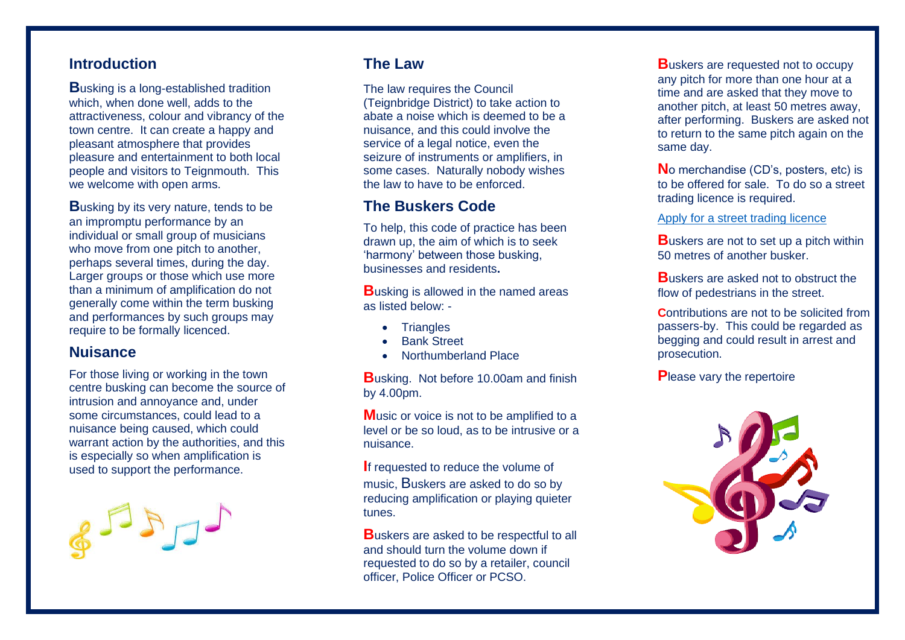## **Introduction**

**B**usking is a long-established tradition which, when done well, adds to the attractiveness, colour and vibrancy of the town centre. It can create a happy and pleasant atmosphere that provides pleasure and entertainment to both local people and visitors to Teignmouth. This we welcome with open arms.

**B**usking by its very nature, tends to be an impromptu performance by an individual or small group of musicians who move from one pitch to another. perhaps several times, during the day. Larger groups or those which use more than a minimum of amplification do not generally come within the term busking and performances by such groups may require to be formally licenced.

#### **Nuisance**

For those living or working in the town centre busking can become the source of intrusion and annoyance and, under some circumstances, could lead to a nuisance being caused, which could warrant action by the authorities, and this is especially so when amplification is used to support the performance.



# **The Law**

The law requires the Council (Teignbridge District) to take action to abate a noise which is deemed to be a nuisance, and this could involve the service of a legal notice, even the seizure of instruments or amplifiers, in some cases. Naturally nobody wishes the law to have to be enforced.

## **The Buskers Code**

To help, this code of practice has been drawn up, the aim of which is to seek 'harmony' between those busking, businesses and residents**.**

**B**usking is allowed in the named areas as listed below: -

- Triangles
- Bank Street
- Northumberland Place

**B**usking. Not before 10.00am and finish by 4.00pm.

**Music or voice is not to be amplified to a** level or be so loud, as to be intrusive or a nuisance.

**I**f requested to reduce the volume of music, Buskers are asked to do so by reducing amplification or playing quieter tunes.

**B**uskers are asked to be respectful to all and should turn the volume down if requested to do so by a retailer, council officer, Police Officer or PCSO.

**B**uskers are requested not to occupy any pitch for more than one hour at a time and are asked that they move to another pitch, at least 50 metres away, after performing. Buskers are asked not to return to the same pitch again on the same day.

**N**o merchandise (CD's, posters, etc) is to be offered for sale. To do so a street trading licence is required.

#### [Apply for a street trading licence](http://www.teignbridge.gov.uk/licensing/street-trading/street-trading-licence)

**B**uskers are not to set up a pitch within 50 metres of another busker.

**B**uskers are asked not to obstruct the flow of pedestrians in the street.

**C**ontributions are not to be solicited from passers-by. This could be regarded as begging and could result in arrest and prosecution.

**P**lease vary the repertoire